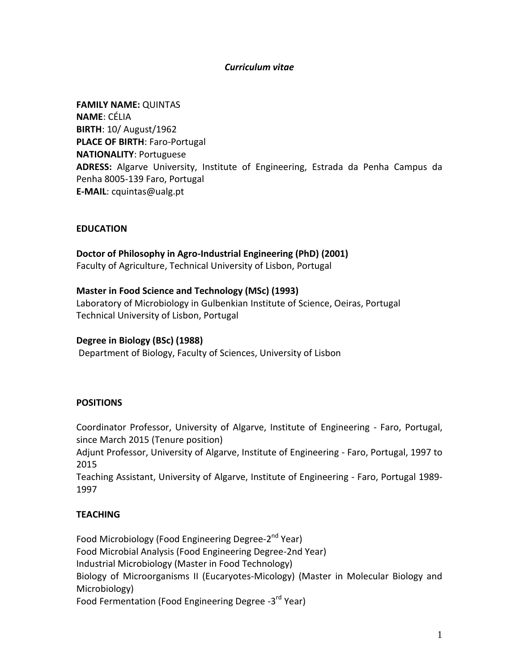## *Curriculum vitae*

**FAMILY NAME:** QUINTAS **NAME**: CÉLIA **BIRTH**: 10/ August/1962 **PLACE OF BIRTH**: Faro-Portugal **NATIONALITY**: Portuguese **ADRESS:** Algarve University, Institute of Engineering, Estrada da Penha Campus da Penha 8005-139 Faro, Portugal **E-MAIL**: cquintas@ualg.pt

## **EDUCATION**

**Doctor of Philosophy in Agro-Industrial Engineering (PhD) (2001)**

Faculty of Agriculture, Technical University of Lisbon, Portugal

### **Master in Food Science and Technology (MSc) (1993)**

Laboratory of Microbiology in Gulbenkian Institute of Science, Oeiras, Portugal Technical University of Lisbon, Portugal

#### **Degree in Biology (BSc) (1988)**

Department of Biology, Faculty of Sciences, University of Lisbon

## **POSITIONS**

Coordinator Professor, University of Algarve, Institute of Engineering - Faro, Portugal, since March 2015 (Tenure position)

Adjunt Professor, University of Algarve, Institute of Engineering - Faro, Portugal, 1997 to 2015

Teaching Assistant, University of Algarve, Institute of Engineering - Faro, Portugal 1989- 1997

## **TEACHING**

Food Microbiology (Food Engineering Degree-2<sup>nd</sup> Year) Food Microbial Analysis (Food Engineering Degree-2nd Year) Industrial Microbiology (Master in Food Technology) Biology of Microorganisms II (Eucaryotes-Micology) (Master in Molecular Biology and Microbiology) Food Fermentation (Food Engineering Degree -3<sup>rd</sup> Year)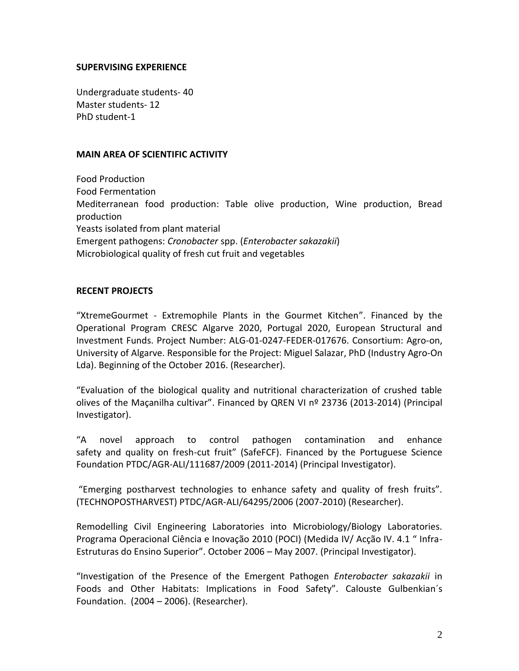### **SUPERVISING EXPERIENCE**

Undergraduate students- 40 Master students- 12 PhD student-1

### **MAIN AREA OF SCIENTIFIC ACTIVITY**

Food Production Food Fermentation Mediterranean food production: Table olive production, Wine production, Bread production Yeasts isolated from plant material Emergent pathogens: *Cronobacter* spp. (*Enterobacter sakazakii*) Microbiological quality of fresh cut fruit and vegetables

## **RECENT PROJECTS**

"XtremeGourmet - Extremophile Plants in the Gourmet Kitchen". Financed by the Operational Program CRESC Algarve 2020, Portugal 2020, European Structural and Investment Funds. Project Number: ALG-01-0247-FEDER-017676. Consortium: Agro-on, University of Algarve. Responsible for the Project: Miguel Salazar, PhD (Industry Agro-On Lda). Beginning of the October 2016. (Researcher).

"Evaluation of the biological quality and nutritional characterization of crushed table olives of the Maçanilha cultivar". Financed by QREN VI nº 23736 (2013-2014) (Principal Investigator).

"A novel approach to control pathogen contamination and enhance safety and quality on fresh-cut fruit" (SafeFCF). Financed by the Portuguese Science Foundation PTDC/AGR-ALI/111687/2009 (2011-2014) (Principal Investigator).

"Emerging postharvest technologies to enhance safety and quality of fresh fruits". (TECHNOPOSTHARVEST) PTDC/AGR-ALI/64295/2006 (2007-2010) (Researcher).

Remodelling Civil Engineering Laboratories into Microbiology/Biology Laboratories. Programa Operacional Ciência e Inovação 2010 (POCI) (Medida IV/ Acção IV. 4.1 " Infra-Estruturas do Ensino Superior". October 2006 – May 2007. (Principal Investigator).

"Investigation of the Presence of the Emergent Pathogen *Enterobacter sakazakii* in Foods and Other Habitats: Implications in Food Safety". Calouste Gulbenkian´s Foundation. (2004 – 2006). (Researcher).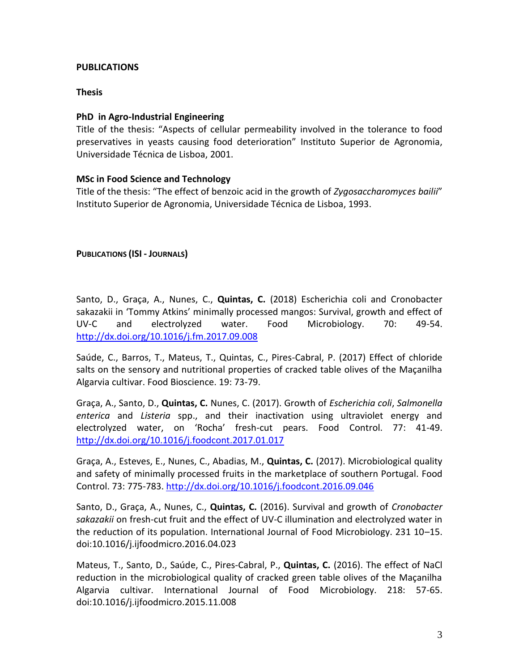# **PUBLICATIONS**

## **Thesis**

# **PhD in Agro-Industrial Engineering**

Title of the thesis: "Aspects of cellular permeability involved in the tolerance to food preservatives in yeasts causing food deterioration" Instituto Superior de Agronomia, Universidade Técnica de Lisboa, 2001.

## **MSc in Food Science and Technology**

Title of the thesis: "The effect of benzoic acid in the growth of *Zygosaccharomyces bailii*" Instituto Superior de Agronomia, Universidade Técnica de Lisboa, 1993.

**PUBLICATIONS (ISI - JOURNALS)**

Santo, D., Graça, A., Nunes, C., **Quintas, C.** (2018) Escherichia coli and Cronobacter sakazakii in 'Tommy Atkins' minimally processed mangos: Survival, growth and effect of UV-C and electrolyzed water. Food Microbiology. 70: 49-54. <http://dx.doi.org/10.1016/j.fm.2017.09.008>

Saúde, C., Barros, T., Mateus, T., Quintas, C., Pires-Cabral, P. (2017) Effect of chloride salts on the sensory and nutritional properties of cracked table olives of the Maçanilha Algarvia cultivar. Food Bioscience. 19: 73-79.

Graça, A., Santo, D., **Quintas, C.** Nunes, C. (2017). Growth of *Escherichia coli*, *Salmonella enterica* and *Listeria* spp., and their inactivation using ultraviolet energy and electrolyzed water, on 'Rocha' fresh-cut pears. Food Control. 77: 41-49. <http://dx.doi.org/10.1016/j.foodcont.2017.01.017>

Graça, A., Esteves, E., Nunes, C., Abadias, M., **Quintas, C.** (2017). Microbiological quality and safety of minimally processed fruits in the marketplace of southern Portugal. Food Control. 73: 775-783. <http://dx.doi.org/10.1016/j.foodcont.2016.09.046>

Santo, D., Graça, A., Nunes, C., **Quintas, C.** (2016). Survival and growth of *Cronobacter sakazakii* on fresh-cut fruit and the effect of UV-C illumination and electrolyzed water in the reduction of its population. International Journal of Food Microbiology. 231 10–15. doi:10.1016/j.ijfoodmicro.2016.04.023

Mateus, T., Santo, D., Saúde, C., Pires-Cabral, P., **Quintas, C.** (2016). The effect of NaCl reduction in the microbiological quality of cracked green table olives of the Maçanilha Algarvia cultivar. International Journal of Food Microbiology. 218: 57-65. doi:10.1016/j.ijfoodmicro.2015.11.008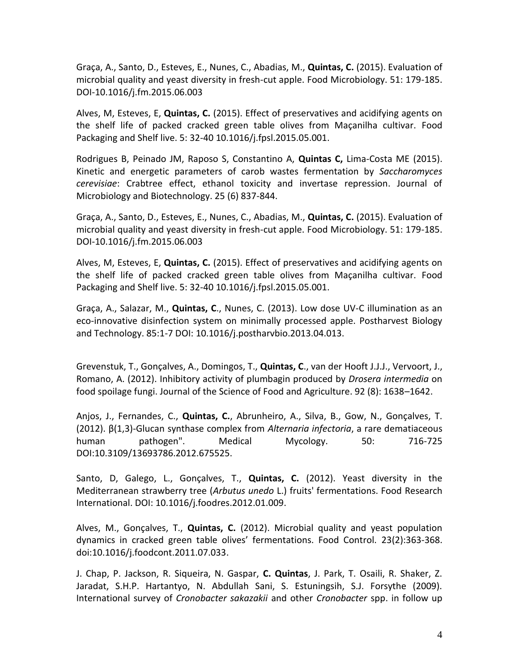Graça, A., Santo, D., Esteves, E., Nunes, C., Abadias, M., **Quintas, C.** (2015). Evaluation of microbial quality and yeast diversity in fresh-cut apple. Food Microbiology. 51: 179-185. DOI-10.1016/j.fm.2015.06.003

Alves, M, Esteves, E, **Quintas, C.** (2015). Effect of preservatives and acidifying agents on the shelf life of packed cracked green table olives from Maçanilha cultivar. Food Packaging and Shelf live. 5: 32-40 10.1016/j.fpsl.2015.05.001.

Rodrigues B, Peinado JM, Raposo S, Constantino A, **Quintas C,** Lima-Costa ME (2015). Kinetic and energetic parameters of carob wastes fermentation by *Saccharomyces cerevisiae*: Crabtree effect, ethanol toxicity and invertase repression. Journal of Microbiology and Biotechnology. 25 (6) 837-844.

Graça, A., Santo, D., Esteves, E., Nunes, C., Abadias, M., **Quintas, C.** (2015). Evaluation of microbial quality and yeast diversity in fresh-cut apple. Food Microbiology. 51: 179-185. DOI-10.1016/j.fm.2015.06.003

Alves, M, Esteves, E, **Quintas, C.** (2015). Effect of preservatives and acidifying agents on the shelf life of packed cracked green table olives from Maçanilha cultivar. Food Packaging and Shelf live. 5: 32-40 10.1016/j.fpsl.2015.05.001.

Graça, A., Salazar, M., **Quintas, C**., Nunes, C. (2013). Low dose UV-C illumination as an eco-innovative disinfection system on minimally processed apple. Postharvest Biology and Technology. 85:1-7 DOI: 10.1016/j.postharvbio.2013.04.013.

Grevenstuk, T., Gonçalves, A., Domingos, T., **Quintas, C**., van der Hooft J.J.J., Vervoort, J., Romano, A. (2012). Inhibitory activity of plumbagin produced by *Drosera intermedia* on food spoilage fungi. Journal of the Science of Food and Agriculture. 92 (8): 1638–1642.

Anjos, J., Fernandes, C., **Quintas, C.**, Abrunheiro, A., Silva, B., Gow, N., Gonçalves, T. (2012). β(1,3)-Glucan synthase complex from *Alternaria infectoria*, a rare dematiaceous human pathogen". Medical Mycology. 50: 716-725 DOI:10.3109/13693786.2012.675525.

Santo, D, Galego, L., Gonçalves, T., **Quintas, C.** (2012). Yeast diversity in the Mediterranean strawberry tree (*Arbutus unedo* L.) fruits' fermentations. Food Research International. DOI: 10.1016/j.foodres.2012.01.009.

Alves, M., Gonçalves, T., **Quintas, C.** (2012). Microbial quality and yeast population dynamics in cracked green table olives' fermentations. Food Control. 23(2):363-368. [doi:10.1016/j.foodcont.2011.07.033.](http://dx.doi.org/10.1016/j.foodcont.2011.07.033)

J. Chap, P. Jackson, R. Siqueira, N. Gaspar, **C. Quintas**, J. Park, T. Osaili, R. Shaker, Z. Jaradat, S.H.P. Hartantyo, N. Abdullah Sani, S. Estuningsih, S.J. Forsythe (2009). International survey of *Cronobacter sakazakii* and other *Cronobacter* spp. in follow up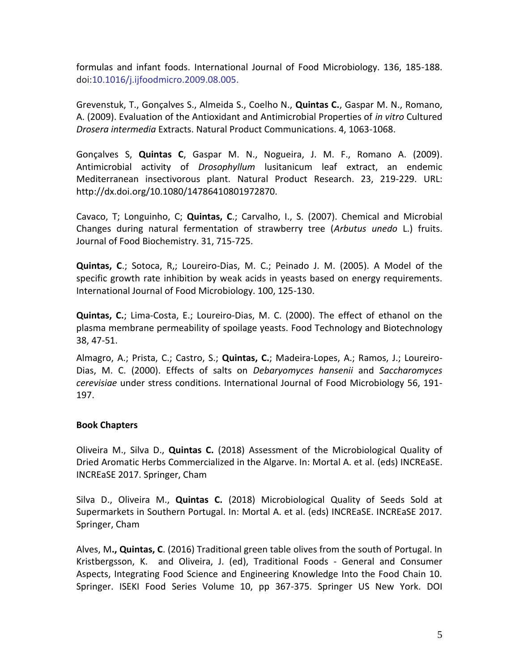formulas and infant foods. International Journal of Food Microbiology. 136, 185-188. doi:10.1016/j.ijfoodmicro.2009.08.005.

Grevenstuk, T., Gonçalves S., Almeida S., Coelho N., **Quintas C.**, Gaspar M. N., Romano, A. (2009). Evaluation of the Antioxidant and Antimicrobial Properties of *in vitro* Cultured *Drosera intermedia* Extracts. Natural Product Communications. 4, 1063-1068.

Gonçalves S, **Quintas C**, Gaspar M. N., Nogueira, J. M. F., Romano A. (2009). Antimicrobial activity of *Drosophyllum* lusitanicum leaf extract, an endemic Mediterranean insectivorous plant. Natural Product Research. 23, 219-229. URL: http://dx.doi.org/10.1080/14786410801972870.

Cavaco, T; Longuinho, C; **Quintas, C**.; Carvalho, I., S. (2007). Chemical and Microbial Changes during natural fermentation of strawberry tree (*Arbutus unedo* L.) fruits. Journal of Food Biochemistry. 31, 715-725.

**Quintas, C**.; Sotoca, R,; Loureiro-Dias, M. C.; Peinado J. M. (2005). A Model of the specific growth rate inhibition by weak acids in yeasts based on energy requirements. International Journal of Food Microbiology. 100, 125-130.

**Quintas, C.**; Lima-Costa, E.; Loureiro-Dias, M. C. (2000). The effect of ethanol on the plasma membrane permeability of spoilage yeasts. Food Technology and Biotechnology 38, 47-51.

Almagro, A.; Prista, C.; Castro, S.; **Quintas, C.**; Madeira-Lopes, A.; Ramos, J.; Loureiro-Dias, M. C. (2000). Effects of salts on *Debaryomyces hansenii* and *Saccharomyces cerevisiae* under stress conditions. International Journal of Food Microbiology 56, 191- 197.

## **Book Chapters**

Oliveira M., Silva D., **Quintas C.** (2018) Assessment of the Microbiological Quality of Dried Aromatic Herbs Commercialized in the Algarve. In: Mortal A. et al. (eds) INCREaSE. INCREaSE 2017. Springer, Cham

Silva D., Oliveira M., **Quintas C.** (2018) Microbiological Quality of Seeds Sold at Supermarkets in Southern Portugal. In: Mortal A. et al. (eds) INCREaSE. INCREaSE 2017. Springer, Cham

Alves, M**., Quintas, C**. (2016) Traditional green table olives from the south of Portugal. In Kristbergsson, K. and Oliveira, J. (ed), Traditional Foods - General and Consumer Aspects, Integrating Food Science and Engineering Knowledge Into the Food Chain 10. Springer. ISEKI Food Series Volume 10, pp 367-375. Springer US New York. DOI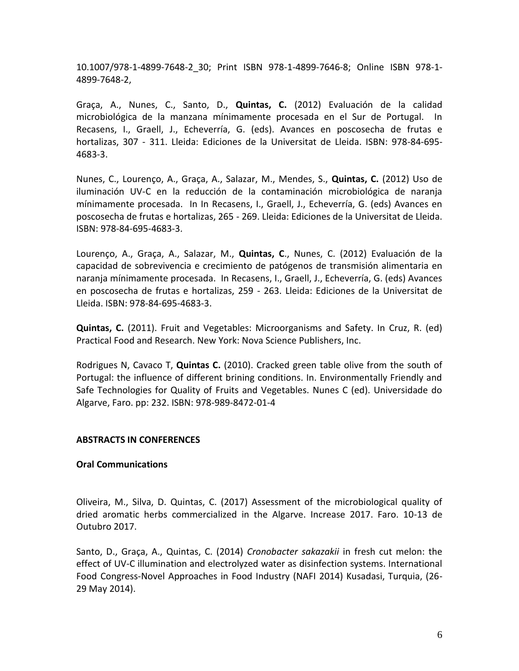10.1007/978-1-4899-7648-2\_30; Print ISBN 978-1-4899-7646-8; Online ISBN 978-1- 4899-7648-2,

Graça, A., Nunes, C., Santo, D., **Quintas, C.** (2012) Evaluación de la calidad microbiológica de la manzana mínimamente procesada en el Sur de Portugal. In Recasens, I., Graell, J., Echeverría, G. (eds). Avances en poscosecha de frutas e hortalizas, 307 - 311. Lleida: Ediciones de la Universitat de Lleida. ISBN: 978-84-695- 4683-3.

Nunes, C., Lourenço, A., Graça, A., Salazar, M., Mendes, S., **Quintas, C.** (2012) Uso de iluminación UV-C en la reducción de la contaminación microbiológica de naranja mínimamente procesada. In In Recasens, I., Graell, J., Echeverría, G. (eds) Avances en poscosecha de frutas e hortalizas, 265 - 269. Lleida: Ediciones de la Universitat de Lleida. ISBN: 978-84-695-4683-3.

Lourenço, A., Graça, A., Salazar, M., **Quintas, C**., Nunes, C. (2012) Evaluación de la capacidad de sobrevivencia e crecimiento de patógenos de transmisión alimentaria en naranja mínimamente procesada. In Recasens, I., Graell, J., Echeverría, G. (eds) Avances en poscosecha de frutas e hortalizas, 259 - 263. Lleida: Ediciones de la Universitat de Lleida. ISBN: 978-84-695-4683-3.

**Quintas, C.** (2011). Fruit and Vegetables: Microorganisms and Safety. In Cruz, R. (ed) Practical Food and Research. New York: Nova Science Publishers, Inc.

Rodrigues N, Cavaco T, **Quintas C.** (2010). Cracked green table olive from the south of Portugal: the influence of different brining conditions. In. Environmentally Friendly and Safe Technologies for Quality of Fruits and Vegetables. Nunes C (ed). Universidade do Algarve, Faro. pp: 232. ISBN: 978-989-8472-01-4

## **ABSTRACTS IN CONFERENCES**

## **Oral Communications**

Oliveira, M., Silva, D. Quintas, C. (2017) Assessment of the microbiological quality of dried aromatic herbs commercialized in the Algarve. Increase 2017. Faro. 10-13 de Outubro 2017.

Santo, D., Graça, A., Quintas, C. (2014) *Cronobacter sakazakii* in fresh cut melon: the effect of UV-C illumination and electrolyzed water as disinfection systems. International Food Congress-Novel Approaches in Food Industry (NAFI 2014) Kusadasi, Turquia, (26- 29 May 2014).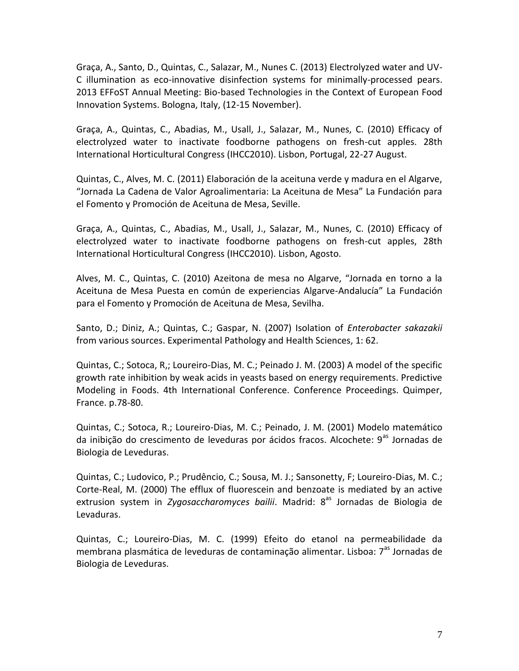Graça, A., Santo, D., Quintas, C., Salazar, M., Nunes C. (2013) Electrolyzed water and UV-C illumination as eco-innovative disinfection systems for minimally-processed pears. 2013 EFFoST Annual Meeting: Bio-based Technologies in the Context of European Food Innovation Systems. Bologna, Italy, (12-15 November).

Graça, A., Quintas, C., Abadias, M., Usall, J., Salazar, M., Nunes, C. (2010) Efficacy of electrolyzed water to inactivate foodborne pathogens on fresh-cut apples. 28th International Horticultural Congress (IHCC2010). Lisbon, Portugal, 22-27 August.

Quintas, C., Alves, M. C. (2011) Elaboración de la aceituna verde y madura en el Algarve, "Jornada La Cadena de Valor Agroalimentaria: La Aceituna de Mesa" La Fundación para el Fomento y Promoción de Aceituna de Mesa, Seville.

Graça, A., Quintas, C., Abadias, M., Usall, J., Salazar, M., Nunes, C. (2010) Efficacy of electrolyzed water to inactivate foodborne pathogens on fresh-cut apples, 28th International Horticultural Congress (IHCC2010). Lisbon, Agosto.

Alves, M. C., Quintas, C. (2010) Azeitona de mesa no Algarve, "Jornada en torno a la Aceituna de Mesa Puesta en común de experiencias Algarve-Andalucía" La Fundación para el Fomento y Promoción de Aceituna de Mesa, Sevilha.

Santo, D.; Diniz, A.; Quintas, C.; Gaspar, N. (2007) Isolation of *Enterobacter sakazakii* from various sources. Experimental Pathology and Health Sciences, 1: 62.

Quintas, C.; Sotoca, R,; Loureiro-Dias, M. C.; Peinado J. M. (2003) A model of the specific growth rate inhibition by weak acids in yeasts based on energy requirements. Predictive Modeling in Foods. 4th International Conference. Conference Proceedings. Quimper, France. p.78-80.

Quintas, C.; Sotoca, R.; Loureiro-Dias, M. C.; Peinado, J. M. (2001) Modelo matemático da inibição do crescimento de leveduras por ácidos fracos. Alcochete:  $9^{as}$  Jornadas de Biologia de Leveduras.

Quintas, C.; Ludovico, P.; Prudêncio, C.; Sousa, M. J.; Sansonetty, F; Loureiro-Dias, M. C.; Corte-Real, M. (2000) The efflux of fluorescein and benzoate is mediated by an active extrusion system in *Zygosaccharomyces bailii*. Madrid: 8<sup>as</sup> Jornadas de Biologia de Levaduras.

Quintas, C.; Loureiro-Dias, M. C. (1999) Efeito do etanol na permeabilidade da membrana plasmática de leveduras de contaminação alimentar. Lisboa: 7<sup>as</sup> Jornadas de Biologia de Leveduras.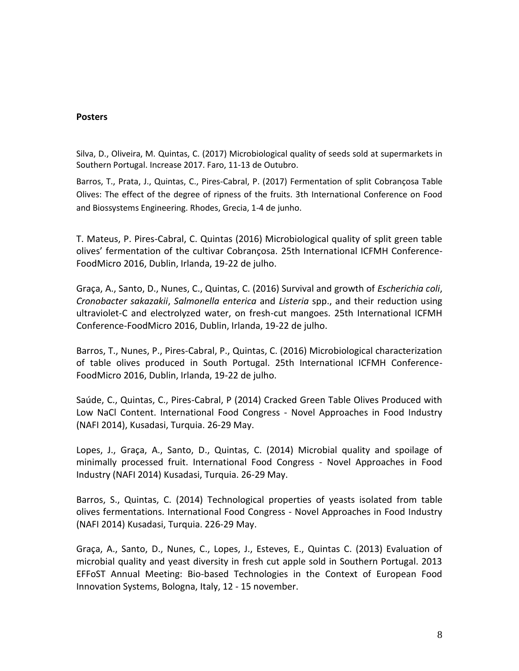#### **Posters**

Silva, D., Oliveira, M. Quintas, C. (2017) Microbiological quality of seeds sold at supermarkets in Southern Portugal. Increase 2017. Faro, 11-13 de Outubro.

Barros, T., Prata, J., Quintas, C., Pires-Cabral, P. (2017) Fermentation of split Cobrançosa Table Olives: The effect of the degree of ripness of the fruits. 3th International Conference on Food and Biossystems Engineering. Rhodes, Grecia, 1-4 de junho.

T. Mateus, P. Pires-Cabral, C. Quintas (2016) Microbiological quality of split green table olives' fermentation of the cultivar Cobrançosa. 25th International ICFMH Conference-FoodMicro 2016, Dublin, Irlanda, 19-22 de julho.

Graça, A., Santo, D., Nunes, C., Quintas, C. (2016) Survival and growth of *Escherichia coli*, *Cronobacter sakazakii*, *Salmonella enterica* and *Listeria* spp., and their reduction using ultraviolet-C and electrolyzed water, on fresh-cut mangoes. 25th International ICFMH Conference-FoodMicro 2016, Dublin, Irlanda, 19-22 de julho.

Barros, T., Nunes, P., Pires-Cabral, P., Quintas, C. (2016) Microbiological characterization of table olives produced in South Portugal. 25th International ICFMH Conference-FoodMicro 2016, Dublin, Irlanda, 19-22 de julho.

Saúde, C., Quintas, C., Pires-Cabral, P (2014) Cracked Green Table Olives Produced with Low NaCl Content. International Food Congress - Novel Approaches in Food Industry (NAFI 2014), Kusadasi, Turquia. 26-29 May.

Lopes, J., Graça, A., Santo, D., Quintas, C. (2014) Microbial quality and spoilage of minimally processed fruit. International Food Congress - Novel Approaches in Food Industry (NAFI 2014) Kusadasi, Turquia. 26-29 May.

Barros, S., Quintas, C. (2014) Technological properties of yeasts isolated from table olives fermentations. International Food Congress - Novel Approaches in Food Industry (NAFI 2014) Kusadasi, Turquia. 226-29 May.

Graça, A., Santo, D., Nunes, C., Lopes, J., Esteves, E., Quintas C. (2013) Evaluation of microbial quality and yeast diversity in fresh cut apple sold in Southern Portugal. 2013 EFFoST Annual Meeting: Bio-based Technologies in the Context of European Food Innovation Systems, Bologna, Italy, 12 - 15 november.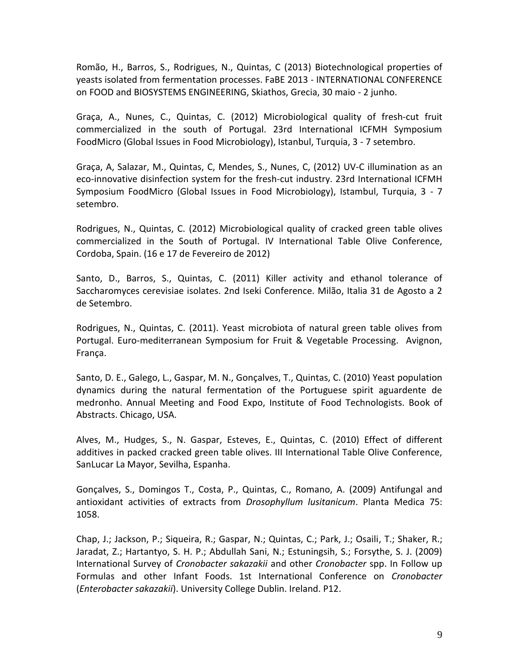Romão, H., Barros, S., Rodrigues, N., Quintas, C (2013) Biotechnological properties of yeasts isolated from fermentation processes. FaBE 2013 - INTERNATIONAL CONFERENCE on FOOD and BIOSYSTEMS ENGINEERING, Skiathos, Grecia, 30 maio - 2 junho.

Graça, A., Nunes, C., Quintas, C. (2012) Microbiological quality of fresh-cut fruit commercialized in the south of Portugal. 23rd International ICFMH Symposium FoodMicro (Global Issues in Food Microbiology), Istanbul, Turquia, 3 - 7 setembro.

Graça, A, Salazar, M., Quintas, C, Mendes, S., Nunes, C, (2012) UV-C illumination as an eco-innovative disinfection system for the fresh-cut industry. 23rd International ICFMH Symposium FoodMicro (Global Issues in Food Microbiology), Istambul, Turquia, 3 - 7 setembro.

Rodrigues, N., Quintas, C. (2012) Microbiological quality of cracked green table olives commercialized in the South of Portugal. IV International Table Olive Conference, Cordoba, Spain. (16 e 17 de Fevereiro de 2012)

Santo, D., Barros, S., Quintas, C. (2011) Killer activity and ethanol tolerance of Saccharomyces cerevisiae isolates. 2nd Iseki Conference. Milão, Italia 31 de Agosto a 2 de Setembro.

Rodrigues, N., Quintas, C. (2011). Yeast microbiota of natural green table olives from Portugal. Euro-mediterranean Symposium for Fruit & Vegetable Processing. Avignon, França.

Santo, D. E., Galego, L., Gaspar, M. N., Gonçalves, T., Quintas, C. (2010) Yeast population dynamics during the natural fermentation of the Portuguese spirit aguardente de medronho. Annual Meeting and Food Expo, Institute of Food Technologists. Book of Abstracts. Chicago, USA.

Alves, M., Hudges, S., N. Gaspar, Esteves, E., Quintas, C. (2010) Effect of different additives in packed cracked green table olives. III International Table Olive Conference, SanLucar La Mayor, Sevilha, Espanha.

Gonçalves, S., Domingos T., Costa, P., Quintas, C., Romano, A. (2009) Antifungal and antioxidant activities of extracts from *Drosophyllum lusitanicum*. Planta Medica 75: 1058.

Chap, J.; Jackson, P.; Siqueira, R.; Gaspar, N.; Quintas, C.; Park, J.; Osaili, T.; Shaker, R.; Jaradat, Z.; Hartantyo, S. H. P.; Abdullah Sani, N.; Estuningsih, S.; Forsythe, S. J. (2009) International Survey of *Cronobacter sakazakii* and other *Cronobacter* spp. In Follow up Formulas and other Infant Foods. 1st International Conference on *Cronobacter* (*Enterobacter sakazakii*). University College Dublin. Ireland. P12.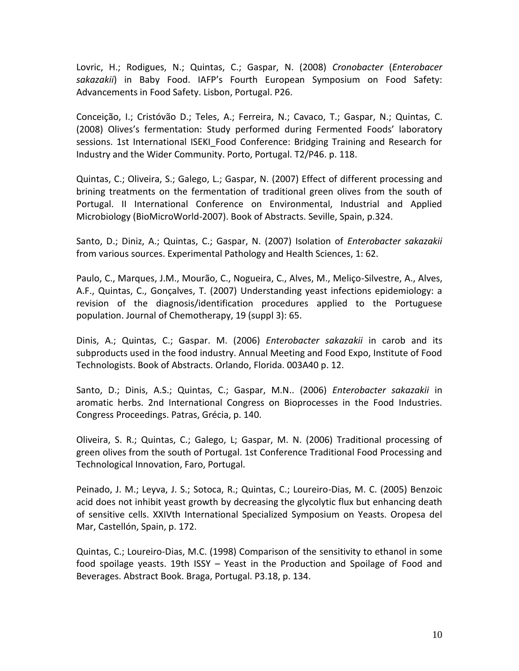Lovric, H.; Rodigues, N.; Quintas, C.; Gaspar, N. (2008) *Cronobacter* (*Enterobacer sakazakii*) in Baby Food. IAFP's Fourth European Symposium on Food Safety: Advancements in Food Safety. Lisbon, Portugal. P26.

Conceição, I.; Cristóvão D.; Teles, A.; Ferreira, N.; Cavaco, T.; Gaspar, N.; Quintas, C. (2008) Olives's fermentation: Study performed during Fermented Foods' laboratory sessions. 1st International ISEKI Food Conference: Bridging Training and Research for Industry and the Wider Community. Porto, Portugal. T2/P46. p. 118.

Quintas, C.; Oliveira, S.; Galego, L.; Gaspar, N. (2007) Effect of different processing and brining treatments on the fermentation of traditional green olives from the south of Portugal. II International Conference on Environmental, Industrial and Applied Microbiology (BioMicroWorld-2007). Book of Abstracts. Seville, Spain, p.324.

Santo, D.; Diniz, A.; Quintas, C.; Gaspar, N. (2007) Isolation of *Enterobacter sakazakii* from various sources. Experimental Pathology and Health Sciences, 1: 62.

Paulo, C., Marques, J.M., Mourão, C., Nogueira, C., Alves, M., Meliço-Silvestre, A., Alves, A.F., Quintas, C., Gonçalves, T. (2007) Understanding yeast infections epidemiology: a revision of the diagnosis/identification procedures applied to the Portuguese population. Journal of Chemotherapy, 19 (suppl 3): 65.

Dinis, A.; Quintas, C.; Gaspar. M. (2006) *Enterobacter sakazakii* in carob and its subproducts used in the food industry. Annual Meeting and Food Expo, Institute of Food Technologists. Book of Abstracts. Orlando, Florida. 003A40 p. 12.

Santo, D.; Dinis, A.S.; Quintas, C.; Gaspar, M.N.. (2006) *Enterobacter sakazakii* in aromatic herbs. 2nd International Congress on Bioprocesses in the Food Industries. Congress Proceedings. Patras, Grécia, p. 140.

Oliveira, S. R.; Quintas, C.; Galego, L; Gaspar, M. N. (2006) Traditional processing of green olives from the south of Portugal. 1st Conference Traditional Food Processing and Technological Innovation, Faro, Portugal.

Peinado, J. M.; Leyva, J. S.; Sotoca, R.; Quintas, C.; Loureiro-Dias, M. C. (2005) Benzoic acid does not inhibit yeast growth by decreasing the glycolytic flux but enhancing death of sensitive cells. XXIVth International Specialized Symposium on Yeasts. Oropesa del Mar, Castellón, Spain, p. 172.

Quintas, C.; Loureiro-Dias, M.C. (1998) Comparison of the sensitivity to ethanol in some food spoilage yeasts. 19th ISSY – Yeast in the Production and Spoilage of Food and Beverages. Abstract Book. Braga, Portugal. P3.18, p. 134.